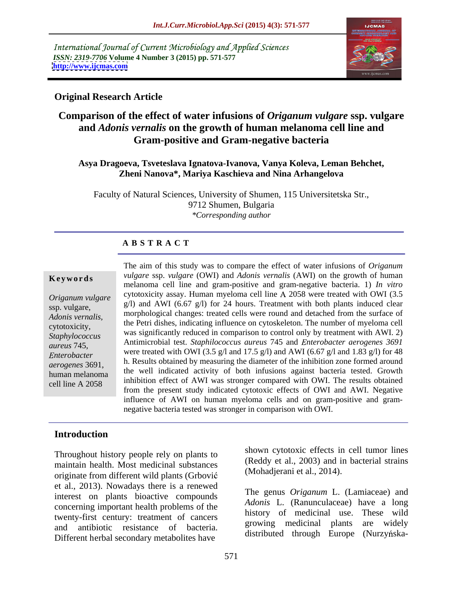International Journal of Current Microbiology and Applied Sciences *ISSN: 2319-7706* **Volume 4 Number 3 (2015) pp. 571-577 <http://www.ijcmas.com>**



### **Original Research Article**

# **Comparison of the effect of water infusions of** *Origanum vulgare* **ssp. vulgare and** *Adonis vernalis* **on the growth of human melanoma cell line and Gram-positive and Gram-negative bacteria**

### **Asya Dragoeva, Tsveteslava Ignatova-Ivanova, Vanya Koleva, Leman Behchet, Zheni Nanova\*, Mariya Kaschieva and Nina Arhangelova**

Faculty of Natural Sciences, University of Shumen, 115 Universitetska Str., 9712 Shumen, Bulgaria *\*Corresponding author*

### **A B S T R A C T**

cell line A 2058

The aim of this study was to compare the effect of water infusions of *Origanum* **Keywords** *vulgare* ssp. *vulgare* (OWI) and *Adonis vernalis* (AWI) on the growth of human melanoma cell line and gram-positive and gram-negative bacteria. 1) *In vitro Origanum vulgare* cytotoxicity assay. Human myeloma cell line A 2058 were treated with OWI (3.5  $g(1)$  and AWI (6.67  $g(1)$ ) for 24 hours. Treatment with both plants induced clear sp. vulgare, Adonis vernalis, morphological changes: treated cells were round and detached from the surface of the Petri dishes, indicating influence on cytoskeleton. The number of myeloma cell cytotoxicity, was significantly reduced in comparison to control only by treatment with AWI. 2) *Staphylococcus*  Antimicrobial test. *Staphilococcus aureus* 745 and *nterobacter aerogenes 3691 aureus* 745, *nterobacter* were treated with OWI (3.5 g/l and 17.5 g/l) and AWI (6.67 g/l and 1.83 g/l) for 48 *nterobacter* h. Results obtained by measuring the diameter of the inhibition zone formed around *aerogenes* 3691, the well indicated activity of both infusions against bacteria tested. Growth inhibition effect of AWI was stronger compared with OWI. The results obtained from the present study indicated cytotoxic effects of OWI and AWI. Negative influence of AWI on human myeloma cells and on gram-positive and gram negative bacteria tested was stronger in comparison with OWI. human melanoma ali un mucateu activity of both infusions against bacteria tested. Growth

### **Introduction**

Throughout history people rely on plants to maintain health. Most medicinal substances originate from different wild plants (Grbovi et al., 2013). Nowadays there is a renewed interest on plants bioactive compounds concerning important health problems of the twenty-first century: treatment of cancers<br>growing medicinal plants are widely and antibiotic resistance of bacteria. The encountry metabolities have and antibiotic resistance of bacteria.<br>Different herbal secondary metabolites have distributed through Europe (Nurzyńska-

shown cytotoxic effects in cell tumor lines (Reddy et al., 2003) and in bacterial strains (Mohadjerani et al., 2014).

The genus *Origanum* L. (Lamiaceae) and *Adonis* L. (Ranunculaceae) have a long history of medicinal use. These wild growing medicinal plants distributed through Europe (Nurzyńska-

571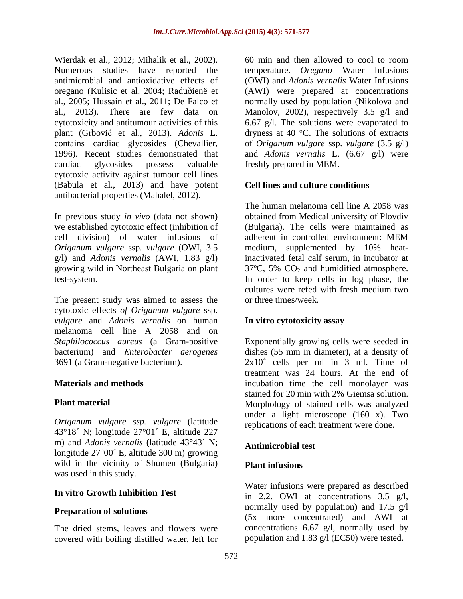Wierdak et al., 2012; Mihalik et al., 2002). 60 min and then allowed to cool to room<br>Numerous studies have reported the temperature. *Oregano* Water Infusions antimicrobial and antioxidative effects of (OWI) and *Adonis vernalis* Water Infusions oregano (Kulisic et al. 2004; Raduðienë et (AWI) were prepared at concentrations al., 2005; Hussain et al., 2011; De Falco et al., 2013). There are few data on Manolov, 2002), respectively 3.5 g/l and cytotoxicity and antitumour activities of this 6.67 g/l. The solutions were evaporated to plant (Grbović et al., 2013). *Adonis* L. dryness at 40 °C. The solutions of extracts contains cardiac glycosides (Chevallier, of *Origanum vulgare* ssp. *vulgare* (3.5 g/l) 1996). Recent studies demonstrated that and *Adonis vernalis* L. (6.67 g/l) were cardiac glycosides possess valuable freshly prepared in MEM. cytotoxic activity against tumour cell lines (Babula et al., 2013) and have potent antibacterial properties (Mahalel, 2012).

cell division) of water infusions of adherent in controlled environment: MEM

cytotoxic effects *of Origanum vulgare* ssp. *vulgare* and *Adonis vernalis* on human melanoma cell line A 2058 and on

*Origanum vulgare ssp. vulgare* (latitude 43°18´ N; longitude 27°01´ E, altitude 227 m) and *Adonis vernalis* (latitude 43°43´ N; longitude 27°00´ E, altitude 300 m) growing wild in the vicinity of Shumen (Bulgaria) Plant infusions was used in this study.

The dried stems, leaves and flowers were covered with boiling distilled water, left for

60 min and then allowed to cool to room temperature. *Oregano* Water Infusions normally used by population (Nikolova and freshly prepared in MEM.

# **Cell lines and culture conditions**

In previous study *in vivo* (data not shown) obtained from Medical university of Plovdiv we established cytotoxic effect (inhibition of (Bulgaria). The cells were maintained as *Origanum vulgare* ssp. *vulgare* (OWI, 3.5 medium, supplemented by 10% heatg/l) and *Adonis vernalis* (AWI, 1.83 g/l) inactivated fetal calf serum, in incubator at growing wild in Northeast Bulgaria on plant  $37^{\circ}$ C, 5% CO<sub>2</sub> and humidified atmosphere. test-system. In order to keep cells in log phase, the<br>cultures were refed with fresh medium two<br>The present study was aimed to assess the or three times/week. The human melanoma cell line A 2058 was adherent in controlled environment: MEM In order to keep cells in log phase, the cultures were refed with fresh medium two or three times/week.

### **In vitro cytotoxicity assay**

*Staphilococcus aureus* (a Gram-positive Exponentially growing cells were seeded in bacterium) and *Enterobacter aerogenes* dishes (55 mm in diameter), at a density of 3691 (a Gram-negative bacterium).  $2x10^4$  cells per ml in 3 ml. Time of **Materials and methods** incubation time the cell monolayer was **Plant material** Morphology of stained cells was analyzed treatment was 24 hours. At the end of stained for 20 min with 2% Giemsa solution. under a light microscope (160 x). Two replications of each treatment were done.

### **Antimicrobial test**

# **Plant infusions**

**In vitro Growth Inhibition Test** in 2.2. OWI at concentrations 3.5 g/l, **Preparation of solutions**<br>
(5x more concentrated) and AWI at Water infusions were prepared as described normally used by population**)** and 17.5 g/l concentrations 6.67 g/l, normally used by population and 1.83 g/l (EC50) were tested.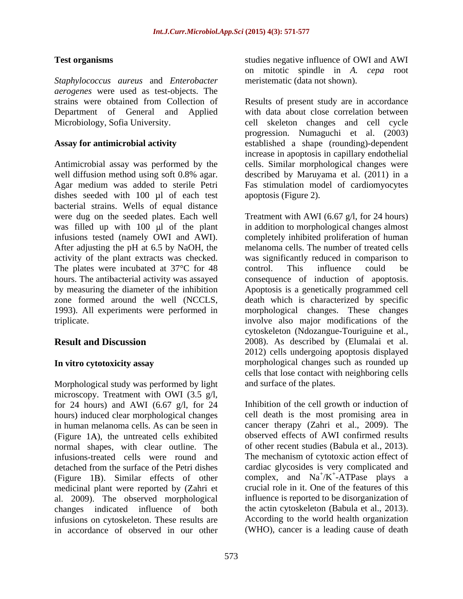*Staphylococcus aureus* and *Enterobacter aerogenes* were used as test-objects. The Department of General and Applied

Antimicrobial assay was performed by the well diffusion method using soft 0.8% agar. Agar medium was added to sterile Petri Fas stimulation model of cardiomyocytes dishes seeded with 100 µl of each test bacterial strains. Wells of equal distance were dug on the seeded plates. Each well Treatment with AWI (6.67 g/l, for 24 hours) After adjusting the pH at 6.5 by NaOH, the The plates were incubated at 37<sup>°</sup>C for 48 control. This influence could be 1993). All experiments were performed in

Morphological study was performed by light microscopy. Treatment with OWI  $(3.5 \text{ g/l})$ , microscopy. Treatment with OWI (3.5 g/l,<br>for 24 hours) and AWI (6.67 g/l, for 24 Inhibition of the cell growth or induction of hours) induced clear morphological changes in human melanoma cells. As can be seen in (Figure 1A), the untreated cells exhibited normal shapes, with clear outline. The (Figure 1B). Similar effects of other medicinal plant were reported by (Zahri et al. 2009). The observed morphological changes indicated influence of both infusions on cytoskeleton. These results are in accordance of observed in our other (WHO), cancer is a leading cause of death

**Test organisms** studies negative influence of OWI and AWI on mitotic spindle in *A. cepa* root meristematic (data not shown).

strains were obtained from Collection of Results of present study are in accordance Microbiology, Sofia University. cell skeleton changes and cell cycle **Assay for antimicrobial activity**  established a shape (rounding)-dependent with data about close correlation between progression. Numaguchi et al. (2003) increase in apoptosis in capillary endothelial cells. Similar morphological changes were described by Maruyama et al. (2011) in a apoptosis (Figure 2).

was filled up with 100 µl of the plant in addition to morphological changes almost infusions tested (namely OWI and AWI). completely inhibited proliferation of human activity of the plant extracts was checked. was significantly reduced in comparison to hours. The antibacterial activity was assayed consequence of induction of apoptosis. by measuring the diameter of the inhibition Apoptosis is a genetically programmed cell zone formed around the well (NCCLS, death which is characterized by specific triplicate. involve also major modifications of the **Result and Discussion** 2008). As described by (Elumalai et al. In vitro cytotoxicity assay **morphological changes** such as rounded up melanoma cells. The number of treated cells control. This influence could be morphological changes. These changes cytoskeleton (Ndozangue-Touriguine et al., 2012) cells undergoing apoptosis displayed cells that lose contact with neighboring cells and surface of the plates.

infusions-treated cells were round and The mechanism of cytotoxic action effectof detached from the surface of the Petri dishes cardiac glycosides is very complicated and Inhibition of the cell growth or induction of cell death is the most promising area in cancer therapy (Zahri et al., 2009). The observed effects of AWI confirmed results of other recent studies (Babula et al., 2013). cardiac glycosides is very complicated and complex, and  $Na^+/K^+$ -ATPase plays a  $/K^+$ -ATPase plays a -ATPase plays a crucial role in it. One of the features of this influence is reported to be disorganization of the actin cytoskeleton (Babula et al., 2013). According to the world health organization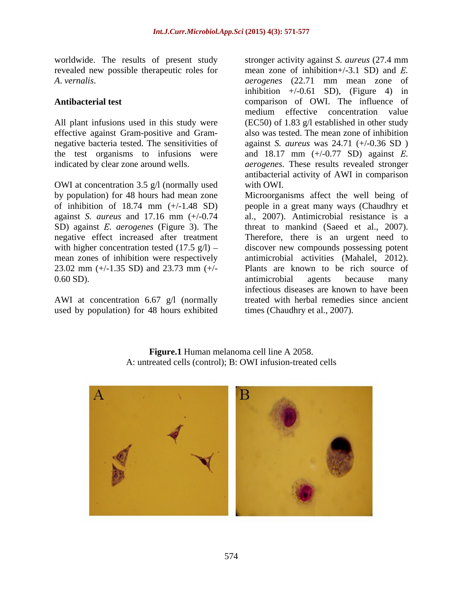worldwide. The results of present study stronger activity against *S. aureus* (27.4 mm revealed new possible therapeutic roles for mean zone of inhibition+/-3.1 SD) and E. *A*. *vernalis*.

negative bacteria tested. The sensitivities of the test organisms to infusions were and  $18.17 \text{ mm } (+/0.77 \text{ SD})$  against E. indicated by clear zone around wells. *aerogenes*. These results revealed stronger

OWI at concentration 3.5 g/l (normally used with OWI. 23.02 mm (+/-1.35 SD) and 23.73 mm (+/-

used by population) for 48 hours exhibited

**Antibacterial test** comparison of OWI. The influence of All plant infusions used in this study were (EC50) of 1.83 g/l established in other study effective against Gram-positive and Gram- also was tested. The mean zone of inhibition mean zone of inhibition+/-3.1 SD) and *E*.<br>*aerogenes* (22.71 mm mean zone of inhibition  $+/-0.61$  SD), (Figure 4) in medium effective concentration value against *S. aureus* was 24.71 (+/-0.36 SD ) and 18.17 mm (+/-0.77 SD) against *E*.<br>*aerogenes*. These results revealed stronger antibacterial activity of AWI in comparison with OWI.

by population) for 48 hours had mean zone Microorganisms affect the well being of of inhibition of 18.74 mm (+/-1.48 SD) people in a great many ways (Chaudhry et against *S. aureus* and 17.16 mm (+/-0.74 al., 2007). Antimicrobial resistance is a SD) against *E. aerogenes* (Figure 3). The threat to mankind (Saeed et al., 2007). negative effect increased after treatment Therefore, there is an urgent need to with higher concentration tested  $(17.5 \text{ g/l})$  – discover new compounds possessing potent mean zones of inhibition were respectively antimicrobial activities (Mahalel, 2012). 0.60 SD). The antimicrobial agents because many antimicrobial agents because many AWI at concentration 6.67 g/l (normally treated with herbal remedies since ancient Plants are known to be rich source of antimicrobial agents because many infectious diseases are known to have been times (Chaudhry et al., 2007).

**Figure.1** Human melanoma cell line A 2058. A: untreated cells (control); B: OWI infusion-treated cells

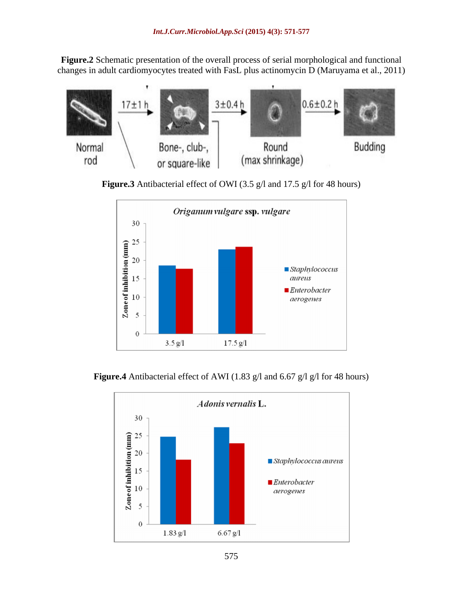**Figure.2** Schematic presentation of the overall process of serial morphological and functional changes in adult cardiomyocytes treated with FasL plus actinomycin D (Maruyama et al., 2011)



**Figure.3** Antibacterial effect of OWI (3.5 g/l and 17.5 g/l for 48 hours)



**Figure.4** Antibacterial effect of AWI (1.83 g/l and 6.67 g/l g/l for 48 hours)

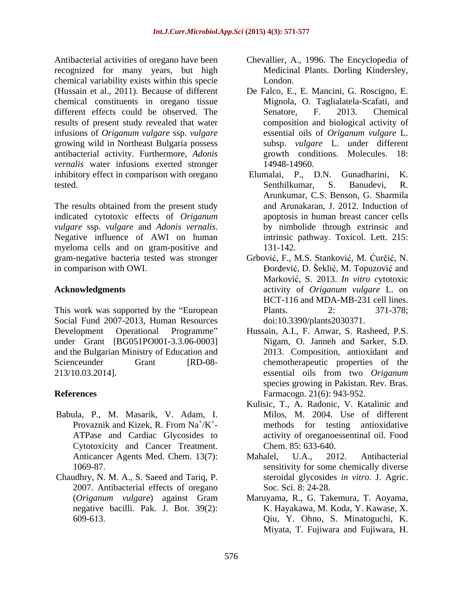Antibacterial activities of oregano have been recognized for many years, but high chemical variability exists within this specie (Hussain et al., 2011). Because of different chemical constituents in oregano tissue different effects could be observed. The Senatore, F. 2013. Chemical results of present study revealed that water infusions of *Origanum vulgare* ssp. *vulgare* growing wild in Northeast Bulgaria possess antibacterial activity. Furthermore, *Adonis vernalis* water infusions exerted stronger 14948-14960. inhibitory effect in comparison with oregano Elumalai, P., D.N. Gunadharini, K. tested. Senthilkumar, S. Banudevi, R.

The results obtained from the present study indicated cytotoxic effects of *Origanum vulgare* ssp. *vulgare* and *Adonis vernalis*. Subsettimate by nimbolide through extrinsic and Negative influence of AWI on human intrinsic pathway. Toxicol. Lett. 215: myeloma cells and on gram-positive and 131-142. gram-negative bacteria tested was stronger Grbović, F., M.S. Stanković, M. Ćurčić, N.

This work was supported by the "European Plants. 2: 371-378; Social Fund 2007-2013, Human Resources Development Operational Programme Hussain, A.I., F. Anwar, S. Rasheed, P.S. under Grant [BG051PO001-3.3.06-0003] Nigam, O. Janneh and Sarker, S.D. and the Bulgarian Ministry of Education and 2013. Composition, antioxidant and Scienceunder Grant [RD-08- chemotherapeutic properties of the 213/10.03.2014]. 213/10.03.2014]. essential oils from two *Origanum* 

- Babula, P., M. Masarik, V. Adam, I. Cytotoxicity and Cancer Treatment.
- Chaudhry, N. M. A., S. Saeed and Tariq, P. 2007. Antibacterial effects of oregano negative bacilli. Pak. J. Bot. 39(2):
- Chevallier, A., 1996. The Encyclopedia of Medicinal Plants. Dorling Kindersley, London.
- De Falco, E., E. Mancini, G. Roscigno, E. Mignola, O. Taglialatela-Scafati, and Senatore, F. 2013. Chemical composition and biological activity of essential oils of *Origanum vulgare* L. subsp. *vulgare* L. under different growth conditions. Molecules. 14948-14960.
- Elumalai, P., D.N. Gunadharini, Senthilkumar, S. Banudevi, R. Arunkumar, C.S. Benson, G. Sharmila and Arunakaran, J. 2012. Induction of apoptosis in human breast cancer cells by nimbolide through extrinsic and intrinsic pathway. Toxicol. Lett. 215: 131-142.
- in comparison with OWI. Solution of the Solution of Bordević, D. Seklić, M. Topuzović and **Acknowledgments** activity of *Origanum vulgare* L. on Marković, S. 2013. *In vitro cytotoxic* activity of *Origanum vulgare* L. on HCT-116 and MDA-MB-231 cell lines. Plants. 2: 371-378; doi:10.3390/plants2030371.
- **References** Farmacogn. 21(6): 943-952. Nigam, O. Janneh and Sarker, S.D. 2013. Composition, antioxidant and essential oils from two *Origanum* species growing in Pakistan. Rev. Bras.
	- Provaznik and Kizek, R. From Na<sup>+</sup>/K<sup>+</sup>- methods for testing antioxidative /K<sup>+</sup> - methods for testing antioxidative ATPase and Cardiac Glycosides to activity of oreganoessentinal oil. Food Kulisic, T., A. Radonic, V. Katalinic and Milos, M. 2004. Use of different Chem. 85: 633-640.
	- Anticancer Agents Med. Chem. 13(7): Mahalel, U.A., 2012. Antibacterial 1069-87. sensitivity for some chemically diverse Mahalel, U.A., 2012. Antibacterial steroidal glycosides *in vitro.* J. Agric. Soc. Sci. 8: 24-28.
	- (*Origanum vulgare*) against Gram Maruyama, R., G. Takemura, T. Aoyama, 609-613. Qiu, Y. Ohno, S. Minatoguchi, K. K. Hayakawa, M. Koda, Y. Kawase, X. Miyata, T. Fujiwara and Fujiwara, H.